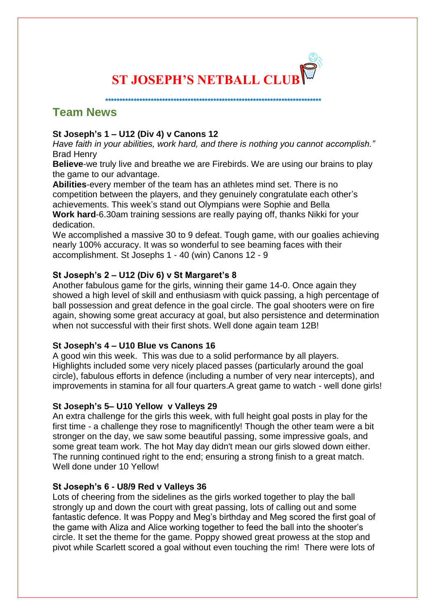

 **\*\*\*\*\*\*\*\*\*\*\*\*\*\*\*\*\*\*\*\*\*\*\*\*\*\*\*\*\*\*\*\*\*\*\*\*\*\*\*\*\*\*\*\*\*\*\*\*\*\*\*\*\*\*\*\*\*\*\*\*\*\*\*\*\*\*\*\*\*\*\*\*\*\*\*\***

**Team News** 

# **St Joseph's 1 – U12 (Div 4) v Canons 12**

*Have faith in your abilities, work hard, and there is nothing you cannot accomplish."* Brad Henry

**Believe**-we truly live and breathe we are Firebirds. We are using our brains to play the game to our advantage.

**Abilities**-every member of the team has an athletes mind set. There is no competition between the players, and they genuinely congratulate each other's achievements. This week's stand out Olympians were Sophie and Bella **Work hard**-6.30am training sessions are really paying off, thanks Nikki for your dedication.

We accomplished a massive 30 to 9 defeat. Tough game, with our goalies achieving nearly 100% accuracy. It was so wonderful to see beaming faces with their accomplishment. St Josephs 1 - 40 (win) Canons 12 - 9

## **St Joseph's 2 – U12 (Div 6) v St Margaret's 8**

Another fabulous game for the girls, winning their game 14-0. Once again they showed a high level of skill and enthusiasm with quick passing, a high percentage of ball possession and great defence in the goal circle. The goal shooters were on fire again, showing some great accuracy at goal, but also persistence and determination when not successful with their first shots. Well done again team 12B!

## **St Joseph's 4 – U10 Blue vs Canons 16**

A good win this week. This was due to a solid performance by all players. Highlights included some very nicely placed passes (particularly around the goal circle), fabulous efforts in defence (including a number of very near intercepts), and improvements in stamina for all four quarters.A great game to watch - well done girls!

## **St Joseph's 5– U10 Yellow v Valleys 29**

An extra challenge for the girls this week, with full height goal posts in play for the first time - a challenge they rose to magnificently! Though the other team were a bit stronger on the day, we saw some beautiful passing, some impressive goals, and some great team work. The hot May day didn't mean our girls slowed down either. The running continued right to the end; ensuring a strong finish to a great match. Well done under 10 Yellow!

## **St Joseph's 6 - U8/9 Red v Valleys 36**

Lots of cheering from the sidelines as the girls worked together to play the ball strongly up and down the court with great passing, lots of calling out and some fantastic defence. It was Poppy and Meg's birthday and Meg scored the first goal of the game with Aliza and Alice working together to feed the ball into the shooter's circle. It set the theme for the game. Poppy showed great prowess at the stop and pivot while Scarlett scored a goal without even touching the rim! There were lots of